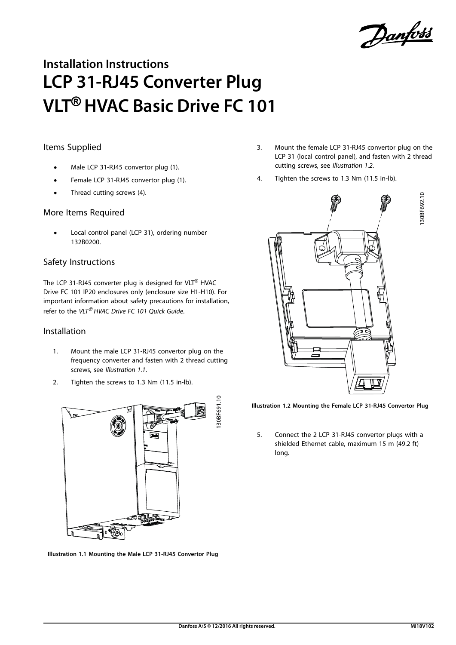Danfoss

# **Installation Instructions LCP 31-RJ45 Converter Plug VLT**® **HVAC Basic Drive FC 101**

## Items Supplied

- **•** Male LCP 31-RJ45 convertor plug (1).
- **•** Female LCP 31-RJ45 convertor plug (1).
- Thread cutting screws (4).

### More Items Required

**•** Local control panel (LCP 31), ordering number 132B0200.

### Safety Instructions

The LCP 31-RJ45 converter plug is designed for VLT® HVAC Drive FC 101 IP20 enclosures only (enclosure size H1-H10). For important information about safety precautions for installation, refer to the VLT® HVAC Drive FC 101 Quick Guide.

#### Installation

- 1. Mount the male LCP 31-RJ45 convertor plug on the frequency converter and fasten with 2 thread cutting screws, see Illustration 1.1.
- 2. Tighten the screws to 1.3 Nm (11.5 in-lb).



**Illustration 1.1 Mounting the Male LCP 31-RJ45 Convertor Plug**

- 3. Mount the female LCP 31-RJ45 convertor plug on the LCP 31 (local control panel), and fasten with 2 thread cutting screws, see Illustration 1.2.
- 4. Tighten the screws to 1.3 Nm (11.5 in-lb).



**Illustration 1.2 Mounting the Female LCP 31-RJ45 Convertor Plug**

5. Connect the 2 LCP 31-RJ45 convertor plugs with a shielded Ethernet cable, maximum 15 m (49.2 ft) long.